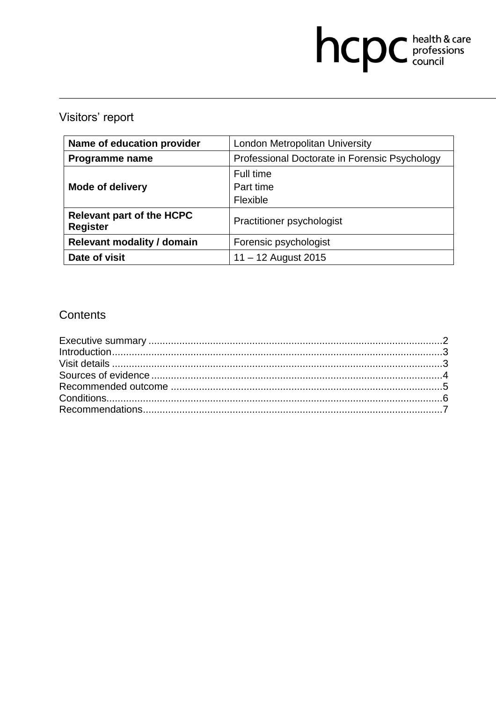# hcpc health & care

# Visitors' report

| Name of education provider                          | London Metropolitan University                |
|-----------------------------------------------------|-----------------------------------------------|
| Programme name                                      | Professional Doctorate in Forensic Psychology |
|                                                     | Full time                                     |
| <b>Mode of delivery</b>                             | Part time                                     |
|                                                     | Flexible                                      |
| <b>Relevant part of the HCPC</b><br><b>Register</b> | <b>Practitioner psychologist</b>              |
| <b>Relevant modality / domain</b>                   | Forensic psychologist                         |
| Date of visit                                       | $11 - 12$ August 2015                         |

# **Contents**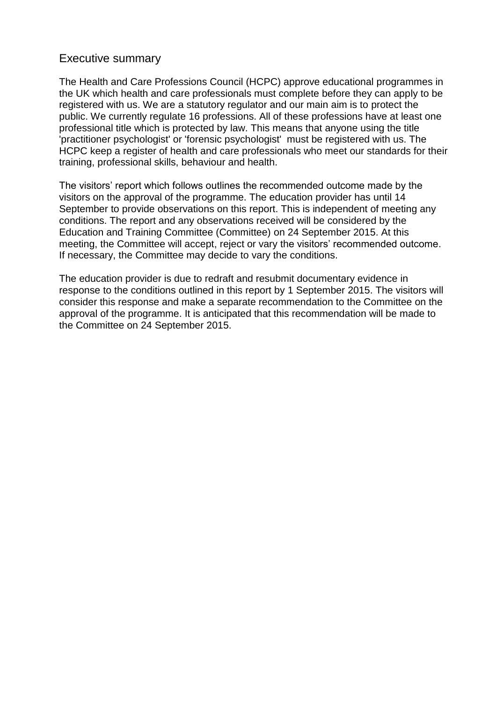#### Executive summary

The Health and Care Professions Council (HCPC) approve educational programmes in the UK which health and care professionals must complete before they can apply to be registered with us. We are a statutory regulator and our main aim is to protect the public. We currently regulate 16 professions. All of these professions have at least one professional title which is protected by law. This means that anyone using the title 'practitioner psychologist' or 'forensic psychologist' must be registered with us. The HCPC keep a register of health and care professionals who meet our standards for their training, professional skills, behaviour and health.

The visitors' report which follows outlines the recommended outcome made by the visitors on the approval of the programme. The education provider has until 14 September to provide observations on this report. This is independent of meeting any conditions. The report and any observations received will be considered by the Education and Training Committee (Committee) on 24 September 2015. At this meeting, the Committee will accept, reject or vary the visitors' recommended outcome. If necessary, the Committee may decide to vary the conditions.

The education provider is due to redraft and resubmit documentary evidence in response to the conditions outlined in this report by 1 September 2015. The visitors will consider this response and make a separate recommendation to the Committee on the approval of the programme. It is anticipated that this recommendation will be made to the Committee on 24 September 2015.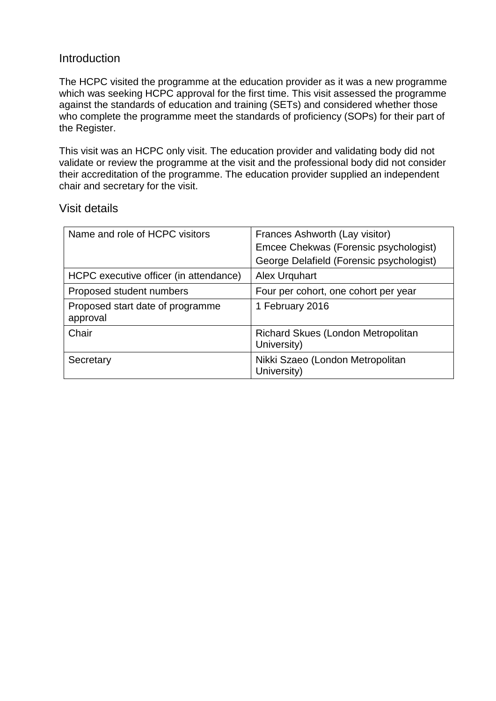#### **Introduction**

The HCPC visited the programme at the education provider as it was a new programme which was seeking HCPC approval for the first time. This visit assessed the programme against the standards of education and training (SETs) and considered whether those who complete the programme meet the standards of proficiency (SOPs) for their part of the Register.

This visit was an HCPC only visit. The education provider and validating body did not validate or review the programme at the visit and the professional body did not consider their accreditation of the programme. The education provider supplied an independent chair and secretary for the visit.

#### Visit details

| Name and role of HCPC visitors               | Frances Ashworth (Lay visitor)                    |  |  |
|----------------------------------------------|---------------------------------------------------|--|--|
|                                              | Emcee Chekwas (Forensic psychologist)             |  |  |
|                                              | George Delafield (Forensic psychologist)          |  |  |
| HCPC executive officer (in attendance)       | Alex Urquhart                                     |  |  |
| Proposed student numbers                     | Four per cohort, one cohort per year              |  |  |
| Proposed start date of programme<br>approval | 1 February 2016                                   |  |  |
| Chair                                        | Richard Skues (London Metropolitan<br>University) |  |  |
| Secretary                                    | Nikki Szaeo (London Metropolitan<br>University)   |  |  |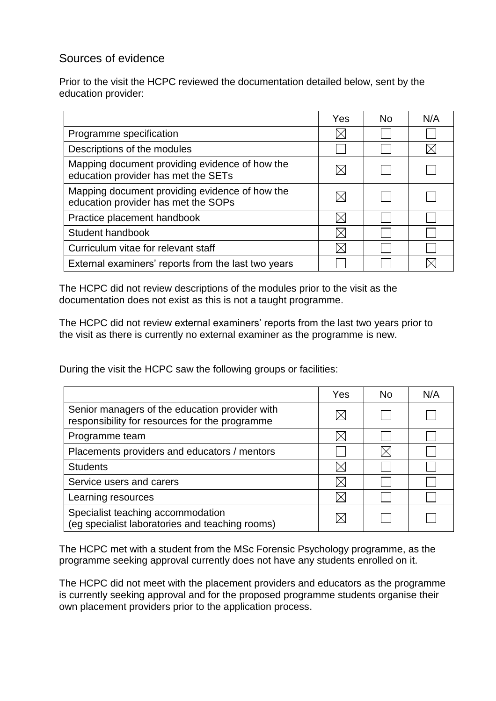# Sources of evidence

Prior to the visit the HCPC reviewed the documentation detailed below, sent by the education provider:

|                                                                                       | Yes | No. | N/A |
|---------------------------------------------------------------------------------------|-----|-----|-----|
| Programme specification                                                               |     |     |     |
| Descriptions of the modules                                                           |     |     |     |
| Mapping document providing evidence of how the<br>education provider has met the SETs |     |     |     |
| Mapping document providing evidence of how the<br>education provider has met the SOPs |     |     |     |
| Practice placement handbook                                                           |     |     |     |
| Student handbook                                                                      |     |     |     |
| Curriculum vitae for relevant staff                                                   |     |     |     |
| External examiners' reports from the last two years                                   |     |     |     |

The HCPC did not review descriptions of the modules prior to the visit as the documentation does not exist as this is not a taught programme.

The HCPC did not review external examiners' reports from the last two years prior to the visit as there is currently no external examiner as the programme is new.

During the visit the HCPC saw the following groups or facilities:

|                                                                                                  | Yes | No. | N/A |
|--------------------------------------------------------------------------------------------------|-----|-----|-----|
| Senior managers of the education provider with<br>responsibility for resources for the programme |     |     |     |
| Programme team                                                                                   |     |     |     |
| Placements providers and educators / mentors                                                     |     |     |     |
| <b>Students</b>                                                                                  |     |     |     |
| Service users and carers                                                                         |     |     |     |
| Learning resources                                                                               |     |     |     |
| Specialist teaching accommodation<br>(eg specialist laboratories and teaching rooms)             |     |     |     |

The HCPC met with a student from the MSc Forensic Psychology programme, as the programme seeking approval currently does not have any students enrolled on it.

The HCPC did not meet with the placement providers and educators as the programme is currently seeking approval and for the proposed programme students organise their own placement providers prior to the application process.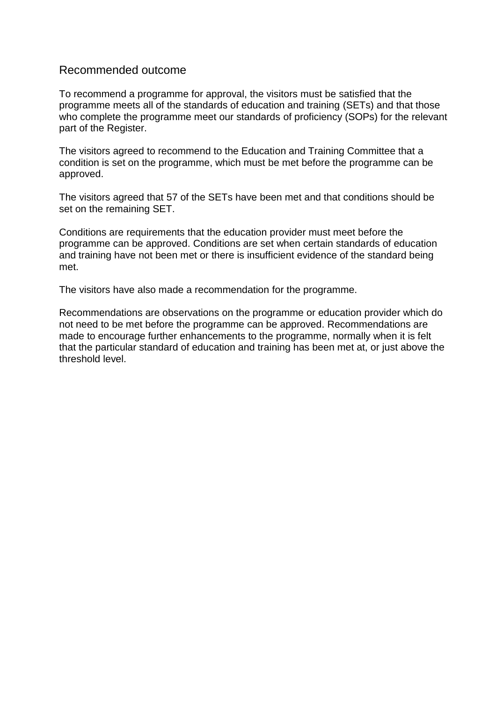#### Recommended outcome

To recommend a programme for approval, the visitors must be satisfied that the programme meets all of the standards of education and training (SETs) and that those who complete the programme meet our standards of proficiency (SOPs) for the relevant part of the Register.

The visitors agreed to recommend to the Education and Training Committee that a condition is set on the programme, which must be met before the programme can be approved.

The visitors agreed that 57 of the SETs have been met and that conditions should be set on the remaining SET.

Conditions are requirements that the education provider must meet before the programme can be approved. Conditions are set when certain standards of education and training have not been met or there is insufficient evidence of the standard being met.

The visitors have also made a recommendation for the programme.

Recommendations are observations on the programme or education provider which do not need to be met before the programme can be approved. Recommendations are made to encourage further enhancements to the programme, normally when it is felt that the particular standard of education and training has been met at, or just above the threshold level.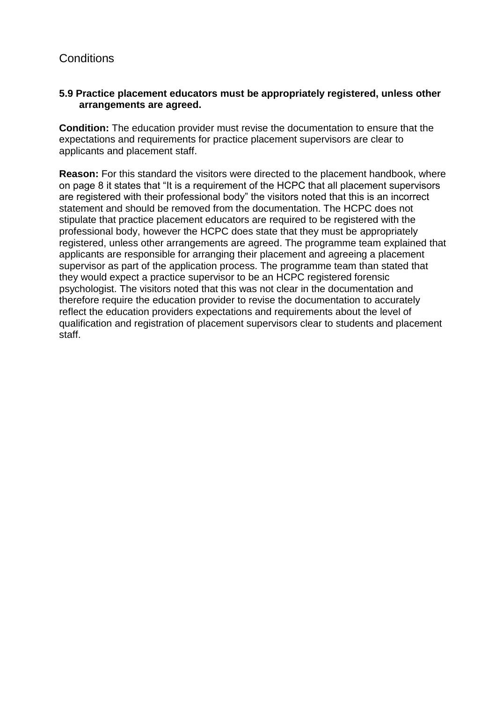# **Conditions**

#### **5.9 Practice placement educators must be appropriately registered, unless other arrangements are agreed.**

**Condition:** The education provider must revise the documentation to ensure that the expectations and requirements for practice placement supervisors are clear to applicants and placement staff.

**Reason:** For this standard the visitors were directed to the placement handbook, where on page 8 it states that "It is a requirement of the HCPC that all placement supervisors are registered with their professional body" the visitors noted that this is an incorrect statement and should be removed from the documentation. The HCPC does not stipulate that practice placement educators are required to be registered with the professional body, however the HCPC does state that they must be appropriately registered, unless other arrangements are agreed. The programme team explained that applicants are responsible for arranging their placement and agreeing a placement supervisor as part of the application process. The programme team than stated that they would expect a practice supervisor to be an HCPC registered forensic psychologist. The visitors noted that this was not clear in the documentation and therefore require the education provider to revise the documentation to accurately reflect the education providers expectations and requirements about the level of qualification and registration of placement supervisors clear to students and placement staff.